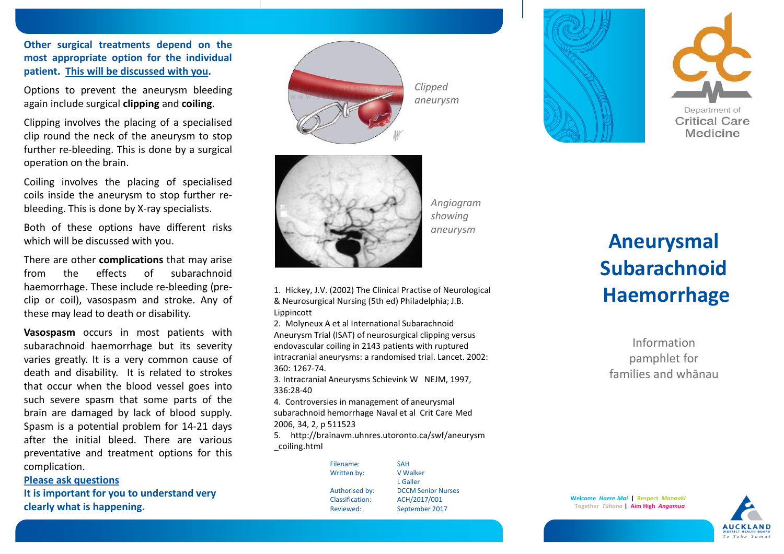**Other surgical treatments depend on the most appropriate option for the individual patient. This will be discussed with you.**

Options to prevent the aneurysm bleeding again include surgical **clipping** and **coiling**.

Clipping involves the placing of a specialised clip round the neck of the aneurysm to stop further re-bleeding. This is done by a surgical operation on the brain.

Coiling involves the placing of specialised coils inside the aneurysm to stop further rebleeding. This is done by X-ray specialists.

Both of these options have different risks which will be discussed with you.

There are other **complications** that may arise from the effects of subarachnoid haemorrhage. These include re-bleeding (preclip or coil), vasospasm and stroke. Any of these may lead to death or disability.

**Vasospasm** occurs in most patients with subarachnoid haemorrhage but its severity varies greatly. It is a very common cause of death and disability. It is related to strokes that occur when the blood vessel goes into such severe spasm that some parts of the brain are damaged by lack of blood supply. Spasm is a potential problem for 14-21 days after the initial bleed. There are various preventative and treatment options for this complication.

#### **Please ask questions**

**It is important for you to understand very clearly what is happening.**



*Clipped aneurysm*



*Angiogram showing aneurysm*

1. Hickey, J.V. (2002) The Clinical Practise of Neurological & Neurosurgical Nursing (5th ed) Philadelphia; J.B. Lippincott

2. Molyneux A et al International Subarachnoid Aneurysm Trial (ISAT) of neurosurgical clipping versus endovascular coiling in 2143 patients with ruptured intracranial aneurysms: a randomised trial. Lancet. 2002: 360: 1267-74.

3. Intracranial Aneurysms Schievink W NEJM, 1997, 336:28-40

4. Controversies in management of aneurysmal subarachnoid hemorrhage Naval et al Crit Care Med 2006, 34, 2, p 511523

5. http://brainavm.uhnres.utoronto.ca/swf/aneurysm \_coiling.html

Written by: V Walker

Filename: SAH L Galler Authorised by: DCCM Senior Nurses Classification: ACH/2017/001 Reviewed: September 2017





# **Aneurysmal Subarachnoid Haemorrhage**

Information pamphlet for families and whānau

**Welcome** *Haere Mai* **| Respect** *Manaaki* **Together** *Tūhono* **| Aim High** *Angamua*